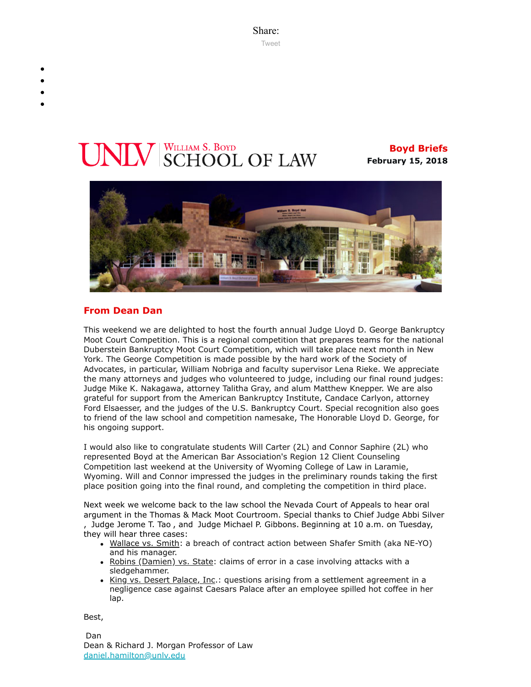Share: [Tweet](https://twitter.com/intent/tweet?ref_src=twsrc%5Etfw&text=Boyd%20Briefs&tw_p=tweetbutton&url=file%3A%2F%2F%2FC%3A%2FUsers%2FElizabeth%2520Manriquez%2FAppData%2FLocal%2FTemp%2FTemp1_boyd-briefs.zip%2Fboyd-briefs%2Femail-BoydBriefs-2018-02-15.html)

# **ILV** SCHOOL OF LAW

**Boyd Briefs February 15, 2018**



#### **From Dean Dan**

This weekend we are delighted to host the fourth annual Judge Lloyd D. George Bankruptcy Moot Court Competition. This is a regional competition that prepares teams for the national Duberstein Bankruptcy Moot Court Competition, which will take place next month in New York. The George Competition is made possible by the hard work of the Society of Advocates, in particular, William Nobriga and faculty supervisor Lena Rieke. We appreciate the many attorneys and judges who volunteered to judge, including our final round judges: Judge Mike K. Nakagawa, attorney Talitha Gray, and alum Matthew Knepper. We are also grateful for support from the American Bankruptcy Institute, Candace Carlyon, attorney Ford Elsaesser, and the judges of the U.S. Bankruptcy Court. Special recognition also goes to friend of the law school and competition namesake, The Honorable Lloyd D. George, for his ongoing support.

I would also like to congratulate students Will Carter (2L) and Connor Saphire (2L) who represented Boyd at the American Bar Association's Region 12 Client Counseling Competition last weekend at the University of Wyoming College of Law in Laramie, Wyoming. Will and Connor impressed the judges in the preliminary rounds taking the first place position going into the final round, and completing the competition in third place.

Next week we welcome back to the law school the Nevada Court of Appeals to hear oral argument in the Thomas & Mack Moot Courtroom. Special thanks to Chief Judge Abbi Silver , Judge Jerome T. Tao , and Judge Michael P. Gibbons. Beginning at 10 a.m. on Tuesday, they will hear three cases:

- [Wallace vs. Smith:](https://nvcourts.gov/COAPortal/caseView.aspx?csiid=38792) a breach of contract action between Shafer Smith (aka NE-YO) and his manager.
- [Robins \(Damien\) vs. State](https://nvcourts.gov/COAPortal/caseView.aspx?csiid=40762): claims of error in a case involving attacks with a sledgehammer.
- [King vs. Desert Palace, Inc](https://nvcourts.gov/COAPortal/caseView.aspx?csiid=40537).: questions arising from a settlement agreement in a negligence case against Caesars Palace after an employee spilled hot coffee in her lap.

Best,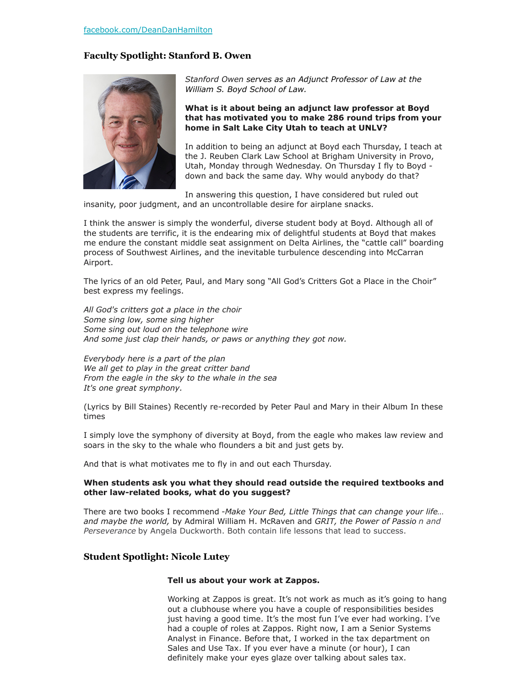#### **Faculty Spotlight: Stanford B. Owen**



*Stanford Owen serves as an Adjunct Professor of Law at the William S. Boyd School of Law.*

**What is it about being an adjunct law professor at Boyd that has motivated you to make 286 round trips from your home in Salt Lake City Utah to teach at UNLV?** 

In addition to being an adjunct at Boyd each Thursday, I teach at the J. Reuben Clark Law School at Brigham University in Provo, Utah, Monday through Wednesday. On Thursday I fly to Boyd down and back the same day. Why would anybody do that?

In answering this question, I have considered but ruled out

insanity, poor judgment, and an uncontrollable desire for airplane snacks.

I think the answer is simply the wonderful, diverse student body at Boyd. Although all of the students are terrific, it is the endearing mix of delightful students at Boyd that makes me endure the constant middle seat assignment on Delta Airlines, the "cattle call" boarding process of Southwest Airlines, and the inevitable turbulence descending into McCarran Airport.

The lyrics of an old Peter, Paul, and Mary song "All God's Critters Got a Place in the Choir" best express my feelings.

*All God's critters got a place in the choir Some sing low, some sing higher Some sing out loud on the telephone wire And some just clap their hands, or paws or anything they got now.*

*Everybody here is a part of the plan We all get to play in the great critter band From the eagle in the sky to the whale in the sea It's one great symphony.*

(Lyrics by Bill Staines) Recently re-recorded by Peter Paul and Mary in their Album In these times

I simply love the symphony of diversity at Boyd, from the eagle who makes law review and soars in the sky to the whale who flounders a bit and just gets by.

And that is what motivates me to fly in and out each Thursday.

#### **When students ask you what they should read outside the required textbooks and other law-related books, what do you suggest?**

There are two books I recommend *-Make Your Bed, Little Things that can change your life… and maybe the world,* by Admiral William H. McRaven and *GRIT, the Power of Passio n and Perseverance* by Angela Duckworth. Both contain life lessons that lead to success.

#### **Student Spotlight: Nicole Lutey**

#### **Tell us about your work at Zappos.**

Working at Zappos is great. It's not work as much as it's going to hang out a clubhouse where you have a couple of responsibilities besides just having a good time. It's the most fun I've ever had working. I've had a couple of roles at Zappos. Right now, I am a Senior Systems Analyst in Finance. Before that, I worked in the tax department on Sales and Use Tax. If you ever have a minute (or hour), I can definitely make your eyes glaze over talking about sales tax.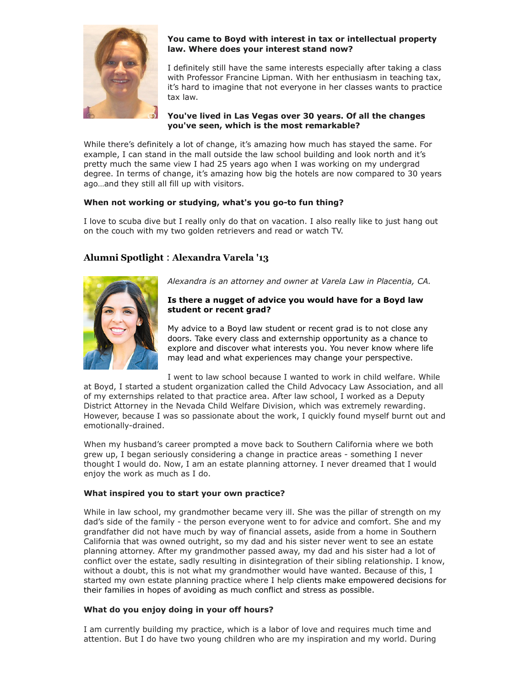

#### **You came to Boyd with interest in tax or intellectual property law. Where does your interest stand now?**

I definitely still have the same interests especially after taking a class with Professor Francine Lipman. With her enthusiasm in teaching tax, it's hard to imagine that not everyone in her classes wants to practice tax law.

#### **You've lived in Las Vegas over 30 years. Of all the changes you've seen, which is the most remarkable?**

While there's definitely a lot of change, it's amazing how much has stayed the same. For example, I can stand in the mall outside the law school building and look north and it's pretty much the same view I had 25 years ago when I was working on my undergrad degree. In terms of change, it's amazing how big the hotels are now compared to 30 years ago…and they still all fill up with visitors.

#### **When not working or studying, what's you go-to fun thing?**

I love to scuba dive but I really only do that on vacation. I also really like to just hang out on the couch with my two golden retrievers and read or watch TV.

### **Alumni Spotlight** : **Alexandra Varela '13**



*Alexandra is an attorney and owner at Varela Law in Placentia, CA.*

#### **Is there a nugget of advice you would have for a Boyd law student or recent grad?**

My advice to a Boyd law student or recent grad is to not close any doors. Take every class and externship opportunity as a chance to explore and discover what interests you. You never know where life may lead and what experiences may change your perspective.

I went to law school because I wanted to work in child welfare. While at Boyd, I started a student organization called the Child Advocacy Law Association, and all of my externships related to that practice area. After law school, I worked as a Deputy District Attorney in the Nevada Child Welfare Division, which was extremely rewarding. However, because I was so passionate about the work, I quickly found myself burnt out and emotionally-drained.

When my husband's career prompted a move back to Southern California where we both grew up, I began seriously considering a change in practice areas - something I never thought I would do. Now, I am an estate planning attorney. I never dreamed that I would enjoy the work as much as I do.

#### **What inspired you to start your own practice?**

While in law school, my grandmother became very ill. She was the pillar of strength on my dad's side of the family - the person everyone went to for advice and comfort. She and my grandfather did not have much by way of financial assets, aside from a home in Southern California that was owned outright, so my dad and his sister never went to see an estate planning attorney. After my grandmother passed away, my dad and his sister had a lot of conflict over the estate, sadly resulting in disintegration of their sibling relationship. I know, without a doubt, this is not what my grandmother would have wanted. Because of this, I started my own estate planning practice where I help clients make empowered decisions for their families in hopes of avoiding as much conflict and stress as possible.

#### **What do you enjoy doing in your off hours?**

I am currently building my practice, which is a labor of love and requires much time and attention. But I do have two young children who are my inspiration and my world. During